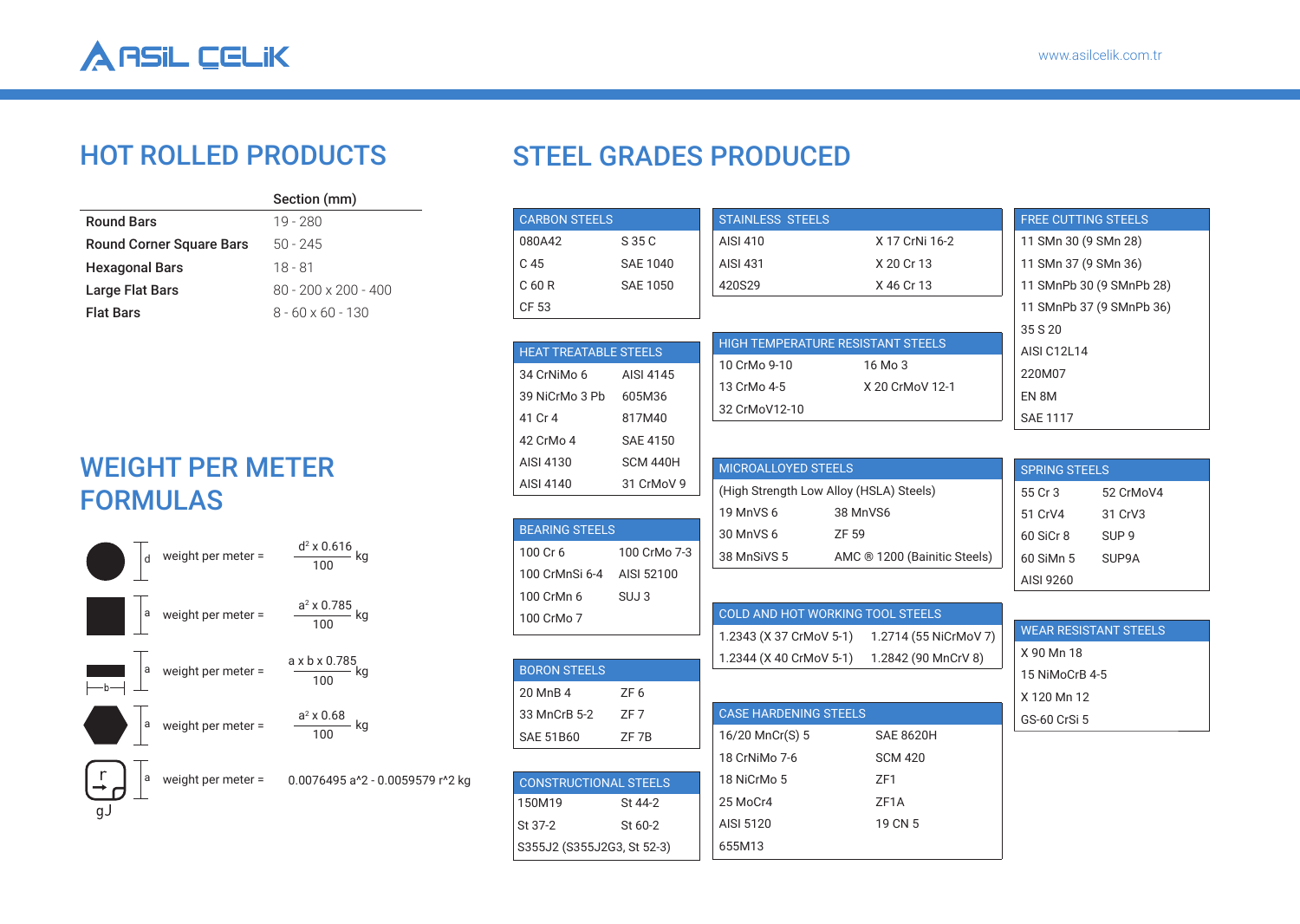

## HOT ROLLED PRODUCTS

|                                 | Section (mm)                |
|---------------------------------|-----------------------------|
| <b>Round Bars</b>               | 19 - 280                    |
| <b>Round Corner Square Bars</b> | $50 - 245$                  |
| <b>Hexagonal Bars</b>           | 18 - 81                     |
| Large Flat Bars                 | $80 - 200 \times 200 - 400$ |
| <b>Flat Bars</b>                | $8 - 60 \times 60 - 130$    |

## WEIGHT PER METER FORMULAS



## STEEL GRADES PRODUCED

| <b>CARBON STEELS</b>         |                 | <b>STAINLESS STEELS</b>                 |                              | <b>FREE CUTTING STEELS</b> |                              |  |  |
|------------------------------|-----------------|-----------------------------------------|------------------------------|----------------------------|------------------------------|--|--|
| 080A42                       | S 35 C          | <b>AISI 410</b>                         | X 17 CrNi 16-2               | 11 SMn 30 (9 SMn 28)       |                              |  |  |
| C 45                         | <b>SAE 1040</b> | <b>AISI 431</b>                         | X 20 Cr 13                   | 11 SMn 37 (9 SMn 36)       |                              |  |  |
| C 60 R                       | <b>SAE 1050</b> | 420S29                                  | X 46 Cr 13                   |                            | 11 SMnPb 30 (9 SMnPb 28)     |  |  |
| CF 53                        |                 |                                         |                              |                            | 11 SMnPb 37 (9 SMnPb 36)     |  |  |
|                              |                 |                                         |                              | 35 S 20                    |                              |  |  |
| <b>HEAT TREATABLE STEELS</b> |                 | HIGH TEMPERATURE RESISTANT STEELS       |                              | AISI C12L14                |                              |  |  |
| 34 CrNiMo 6                  | AISI 4145       | 10 CrMo 9-10                            | 16 Mo 3                      | 220M07                     |                              |  |  |
| 39 NiCrMo 3 Pb               | 605M36          | 13 CrMo 4-5                             | X 20 CrMoV 12-1              | EN 8M                      |                              |  |  |
| 41 Cr 4                      | 817M40          | 32 CrMoV12-10                           |                              | <b>SAE 1117</b>            |                              |  |  |
| 42 CrMo 4                    | <b>SAE 4150</b> |                                         |                              |                            |                              |  |  |
| AISI 4130                    | SCM 440H        | MICROALLOYED STEELS                     |                              | <b>SPRING STEELS</b>       |                              |  |  |
| AISI 4140                    | 31 CrMoV 9      | (High Strength Low Alloy (HSLA) Steels) |                              | 55 Cr 3                    | 52 CrMoV4                    |  |  |
|                              |                 | 19 MnVS 6                               | 38 MnVS6                     | 51 CrV4                    | 31 CrV3                      |  |  |
| <b>BEARING STEELS</b>        |                 | 30 MnVS 6                               | ZF 59                        | 60 SiCr 8                  | SUP <sub>9</sub>             |  |  |
| 100 Cr 6                     | 100 CrMo 7-3    | 38 MnSiVS 5                             | AMC ® 1200 (Bainitic Steels) | 60 SiMn 5                  | SUP9A                        |  |  |
| 100 CrMnSi 6-4 AISI 52100    |                 |                                         |                              | AISI 9260                  |                              |  |  |
| 100 CrMn 6                   | SUJ3            |                                         |                              |                            |                              |  |  |
| 100 CrMo 7                   |                 | <b>COLD AND HOT WORKING TOOL STEELS</b> |                              |                            |                              |  |  |
|                              |                 | 1.2343 (X 37 CrMoV 5-1)                 | 1.2714 (55 NiCrMoV 7)        |                            | <b>WEAR RESISTANT STEELS</b> |  |  |
| <b>BORON STEELS</b>          |                 | 1.2344 (X 40 CrMoV 5-1)                 | 1.2842 (90 MnCrV 8)          | X 90 Mn 18                 |                              |  |  |
| 20 MnB 4                     | ZF <sub>6</sub> |                                         |                              | 15 NiMoCrB 4-5             |                              |  |  |
| 33 MnCrB 5-2                 | ZF 7            | <b>CASE HARDENING STEELS</b>            |                              | X 120 Mn 12                |                              |  |  |
| <b>SAE 51B60</b>             | ZF 7B           | 16/20 MnCr(S) 5                         | <b>SAE 8620H</b>             | GS-60 CrSi 5               |                              |  |  |
|                              |                 | 18 CrNiMo 7-6                           | <b>SCM 420</b>               |                            |                              |  |  |
| <b>CONSTRUCTIONAL STEELS</b> |                 | 18 NiCrMo 5                             | ZF1                          |                            |                              |  |  |
| 150M19                       | St 44-2         | 25 MoCr4                                | ZF <sub>1</sub> A            |                            |                              |  |  |
| St 37-2                      | St 60-2         | AISI 5120                               | 19 CN 5                      |                            |                              |  |  |
| S355J2 (S355J2G3, St 52-3)   |                 | 655M13                                  |                              |                            |                              |  |  |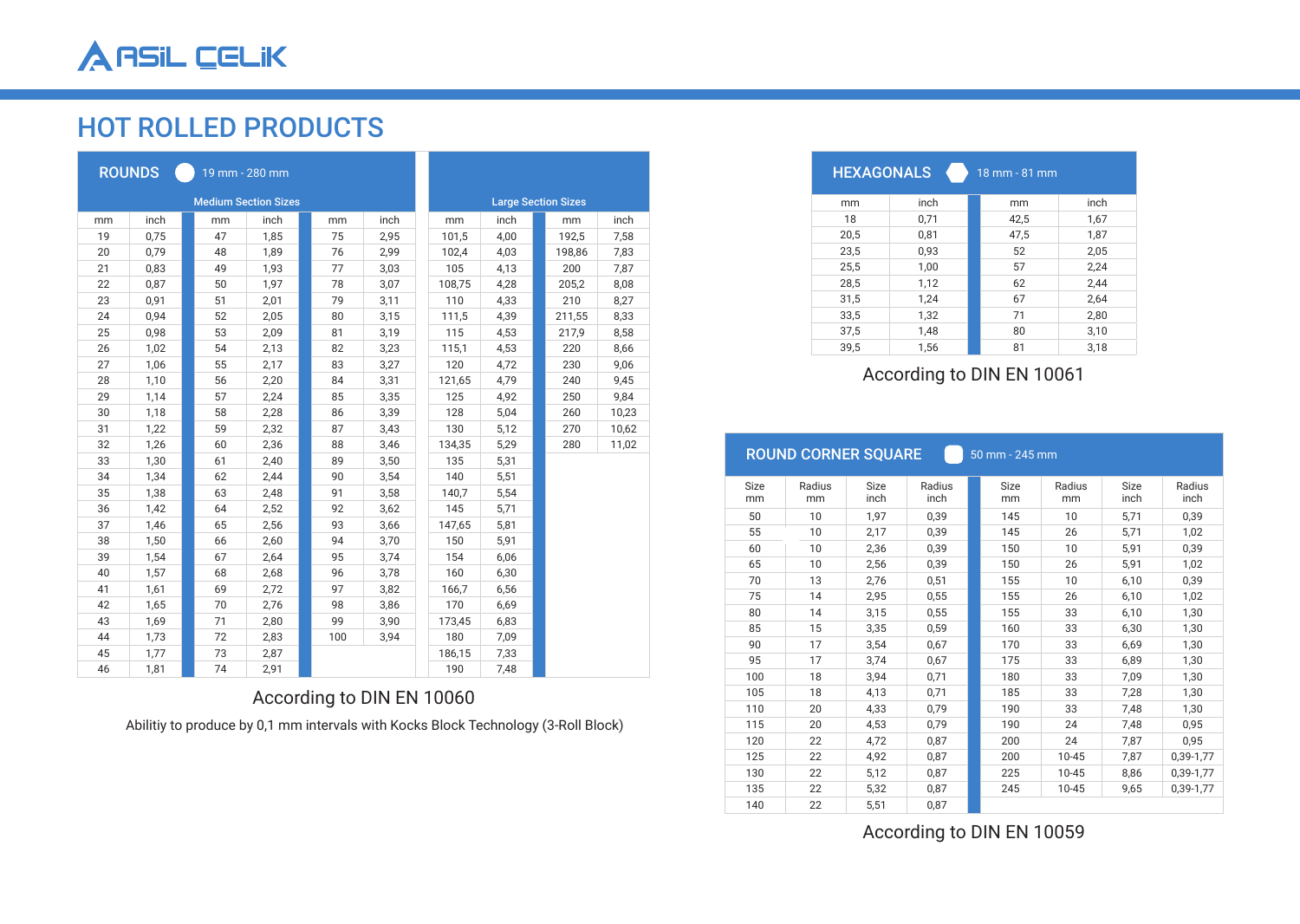# HOT ROLLED PRODUCTS

|    | <b>ROUNDS</b><br>19 mm - 280 mm |    |      |     |      |  |        |                            |  |        |       |  |  |
|----|---------------------------------|----|------|-----|------|--|--------|----------------------------|--|--------|-------|--|--|
|    | <b>Medium Section Sizes</b>     |    |      |     |      |  |        | <b>Large Section Sizes</b> |  |        |       |  |  |
| mm | inch                            | mm | inch | mm  | inch |  | mm     | inch                       |  | mm     | inch  |  |  |
| 19 | 0,75                            | 47 | 1,85 | 75  | 2,95 |  | 101,5  | 4,00                       |  | 192,5  | 7,58  |  |  |
| 20 | 0,79                            | 48 | 1,89 | 76  | 2,99 |  | 102,4  | 4,03                       |  | 198,86 | 7,83  |  |  |
| 21 | 0,83                            | 49 | 1,93 | 77  | 3,03 |  | 105    | 4,13                       |  | 200    | 7,87  |  |  |
| 22 | 0,87                            | 50 | 1,97 | 78  | 3,07 |  | 108,75 | 4,28                       |  | 205,2  | 8,08  |  |  |
| 23 | 0,91                            | 51 | 2,01 | 79  | 3,11 |  | 110    | 4,33                       |  | 210    | 8,27  |  |  |
| 24 | 0,94                            | 52 | 2,05 | 80  | 3,15 |  | 111,5  | 4,39                       |  | 211,55 | 8,33  |  |  |
| 25 | 0,98                            | 53 | 2,09 | 81  | 3,19 |  | 115    | 4,53                       |  | 217,9  | 8,58  |  |  |
| 26 | 1,02                            | 54 | 2,13 | 82  | 3,23 |  | 115,1  | 4,53                       |  | 220    | 8,66  |  |  |
| 27 | 1,06                            | 55 | 2,17 | 83  | 3,27 |  | 120    | 4,72                       |  | 230    | 9,06  |  |  |
| 28 | 1,10                            | 56 | 2,20 | 84  | 3,31 |  | 121,65 | 4,79                       |  | 240    | 9,45  |  |  |
| 29 | 1,14                            | 57 | 2,24 | 85  | 3,35 |  | 125    | 4,92                       |  | 250    | 9,84  |  |  |
| 30 | 1,18                            | 58 | 2,28 | 86  | 3,39 |  | 128    | 5,04                       |  | 260    | 10,23 |  |  |
| 31 | 1,22                            | 59 | 2,32 | 87  | 3,43 |  | 130    | 5,12                       |  | 270    | 10,62 |  |  |
| 32 | 1,26                            | 60 | 2,36 | 88  | 3,46 |  | 134,35 | 5,29                       |  | 280    | 11,02 |  |  |
| 33 | 1,30                            | 61 | 2,40 | 89  | 3,50 |  | 135    | 5,31                       |  |        |       |  |  |
| 34 | 1,34                            | 62 | 2,44 | 90  | 3,54 |  | 140    | 5,51                       |  |        |       |  |  |
| 35 | 1,38                            | 63 | 2,48 | 91  | 3,58 |  | 140,7  | 5,54                       |  |        |       |  |  |
| 36 | 1,42                            | 64 | 2,52 | 92  | 3,62 |  | 145    | 5,71                       |  |        |       |  |  |
| 37 | 1,46                            | 65 | 2,56 | 93  | 3,66 |  | 147,65 | 5,81                       |  |        |       |  |  |
| 38 | 1,50                            | 66 | 2,60 | 94  | 3,70 |  | 150    | 5,91                       |  |        |       |  |  |
| 39 | 1,54                            | 67 | 2,64 | 95  | 3,74 |  | 154    | 6,06                       |  |        |       |  |  |
| 40 | 1,57                            | 68 | 2,68 | 96  | 3,78 |  | 160    | 6,30                       |  |        |       |  |  |
| 41 | 1,61                            | 69 | 2,72 | 97  | 3,82 |  | 166,7  | 6,56                       |  |        |       |  |  |
| 42 | 1,65                            | 70 | 2,76 | 98  | 3,86 |  | 170    | 6,69                       |  |        |       |  |  |
| 43 | 1,69                            | 71 | 2,80 | 99  | 3,90 |  | 173,45 | 6,83                       |  |        |       |  |  |
| 44 | 1,73                            | 72 | 2,83 | 100 | 3,94 |  | 180    | 7,09                       |  |        |       |  |  |
| 45 | 1,77                            | 73 | 2,87 |     |      |  | 186,15 | 7,33                       |  |        |       |  |  |
| 46 | 1,81                            | 74 | 2,91 |     |      |  | 190    | 7,48                       |  |        |       |  |  |

## According to DIN EN 10060

Abilitiy to produce by 0,1 mm intervals with Kocks Block Technology (3-Roll Block)

| <b>HEXAGONALS</b> |      | 18 mm - 81 mm |      |
|-------------------|------|---------------|------|
| mm                | inch | mm            | inch |
| 18                | 0,71 | 42,5          | 1,67 |
| 20,5              | 0,81 | 47,5          | 1,87 |
| 23,5              | 0,93 | 52            | 2,05 |
| 25,5              | 1,00 | 57            | 2,24 |
| 28,5              | 1,12 | 62            | 2,44 |
| 31,5              | 1,24 | 67            | 2,64 |
| 33,5              | 1,32 | 71            | 2,80 |
| 37,5              | 1,48 | 80            | 3,10 |
| 39.5              | 1,56 | 81            | 3,18 |

### According to DIN EN 10061

|             | <b>ROUND CORNER SQUARE</b> |             |        | 50 mm - 245 mm |             |           |             |           |  |
|-------------|----------------------------|-------------|--------|----------------|-------------|-----------|-------------|-----------|--|
| <b>Size</b> | Radius                     | <b>Size</b> | Radius |                | <b>Size</b> | Radius    | <b>Size</b> | Radius    |  |
| mm          | mm                         | inch        | inch   |                | mm          | mm        | inch        | inch      |  |
| 50          | 10                         | 1,97        | 0,39   |                | 145         | 10        | 5,71        | 0,39      |  |
| 55          | 10                         | 2,17        | 0,39   |                | 145         | 26        | 5,71        | 1,02      |  |
| 60          | 10                         | 2,36        | 0,39   |                | 150         | 10        | 5,91        | 0,39      |  |
| 65          | 10                         | 2,56        | 0,39   |                | 150         | 26        | 5,91        | 1,02      |  |
| 70          | 13                         | 2,76        | 0,51   |                | 155         | 10        | 6,10        | 0,39      |  |
| 75          | 14                         | 2,95        | 0,55   |                | 155         | 26        | 6,10        | 1,02      |  |
| 80          | 14                         | 3,15        | 0,55   |                | 155         | 33        | 6,10        | 1,30      |  |
| 85          | 15                         | 3,35        | 0,59   |                | 160         | 33        | 6.30        | 1.30      |  |
| 90          | 17                         | 3,54        | 0,67   |                | 170         | 33        | 6,69        | 1,30      |  |
| 95          | 17                         | 3,74        | 0,67   |                | 175         | 33        | 6,89        | 1,30      |  |
| 100         | 18                         | 3,94        | 0,71   |                | 180         | 33        | 7.09        | 1,30      |  |
| 105         | 18                         | 4,13        | 0,71   |                | 185         | 33        | 7,28        | 1,30      |  |
| 110         | 20                         | 4,33        | 0,79   |                | 190         | 33        | 7,48        | 1,30      |  |
| 115         | 20                         | 4,53        | 0,79   |                | 190         | 24        | 7,48        | 0,95      |  |
| 120         | 22                         | 4,72        | 0,87   |                | 200         | 24        | 7,87        | 0,95      |  |
| 125         | 22                         | 4,92        | 0,87   |                | 200         | $10 - 45$ | 7,87        | 0,39-1,77 |  |
| 130         | 22                         | 5,12        | 0,87   |                | 225         | $10 - 45$ | 8,86        | 0,39-1,77 |  |
| 135         | 22                         | 5,32        | 0,87   |                | 245         | $10 - 45$ | 9,65        | 0,39-1,77 |  |
| 140         | 22                         | 5,51        | 0,87   |                |             |           |             |           |  |

According to DIN EN 10059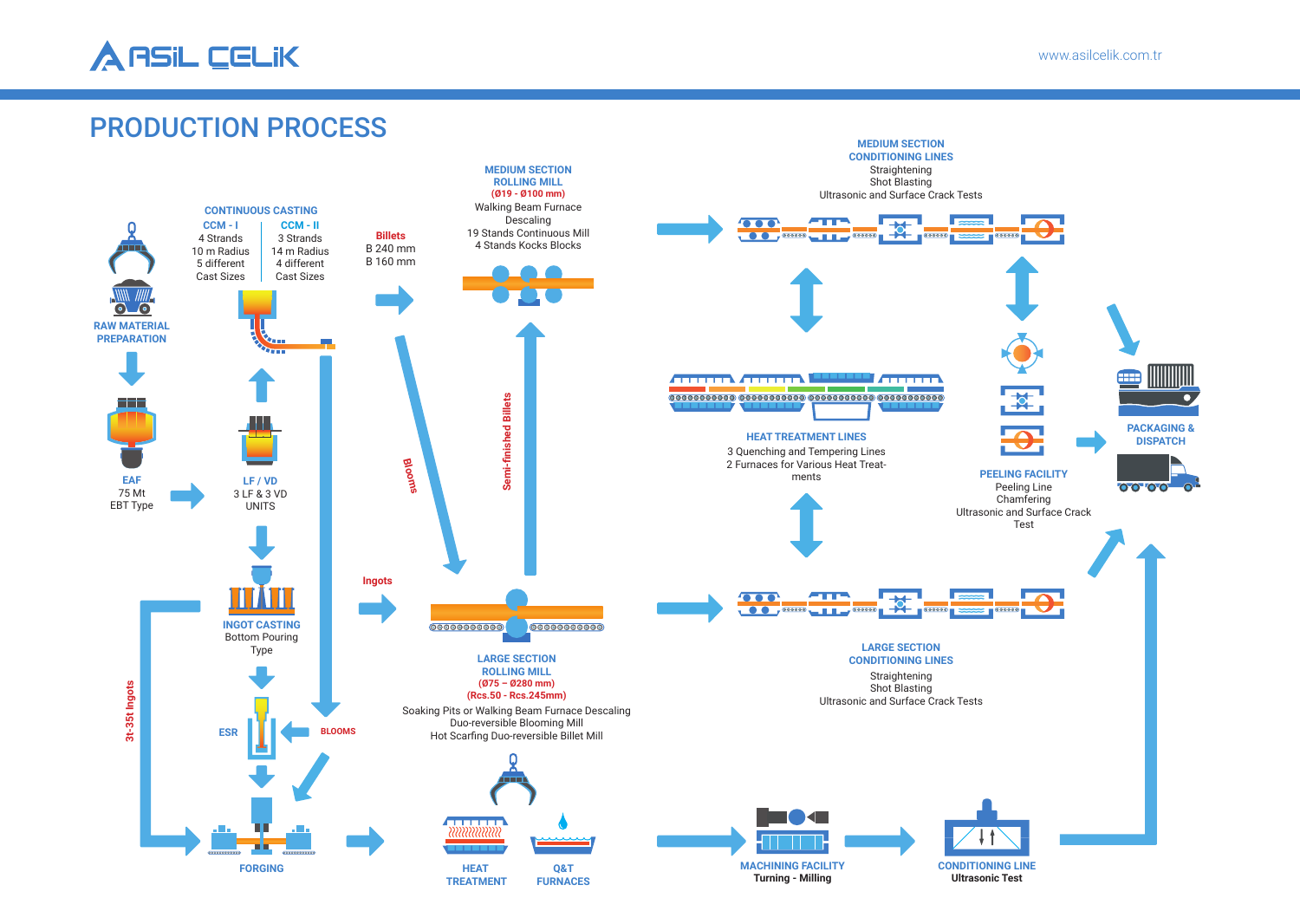# PRODUCTION PROCESS